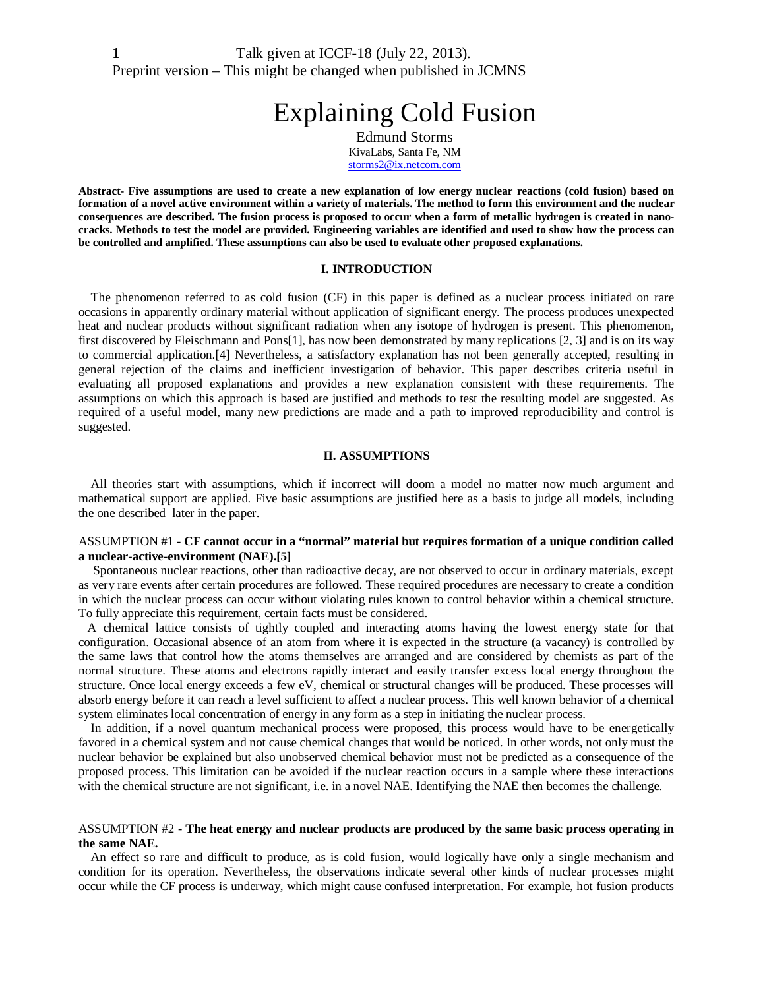# Explaining Cold Fusion

Edmund Storms KivaLabs, Santa Fe, NM [storms2@ix.netcom.com](mailto:storms2@ix.netcom.com)

**Abstract- Five assumptions are used to create a new explanation of low energy nuclear reactions (cold fusion) based on formation of a novel active environment within a variety of materials. The method to form this environment and the nuclear consequences are described. The fusion process is proposed to occur when a form of metallic hydrogen is created in nanocracks. Methods to test the model are provided. Engineering variables are identified and used to show how the process can be controlled and amplified. These assumptions can also be used to evaluate other proposed explanations.**

#### **I. INTRODUCTION**

The phenomenon referred to as cold fusion (CF) in this paper is defined as a nuclear process initiated on rare occasions in apparently ordinary material without application of significant energy. The process produces unexpected heat and nuclear products without significant radiation when any isotope of hydrogen is present. This phenomenon, first discovered by Fleischmann and Pons[1], has now been demonstrated by many replications [2, 3] and is on its way to commercial application.[4] Nevertheless, a satisfactory explanation has not been generally accepted, resulting in general rejection of the claims and inefficient investigation of behavior. This paper describes criteria useful in evaluating all proposed explanations and provides a new explanation consistent with these requirements. The assumptions on which this approach is based are justified and methods to test the resulting model are suggested. As required of a useful model, many new predictions are made and a path to improved reproducibility and control is suggested.

#### **II. ASSUMPTIONS**

All theories start with assumptions, which if incorrect will doom a model no matter now much argument and mathematical support are applied. Five basic assumptions are justified here as a basis to judge all models, including the one described later in the paper.

# ASSUMPTION #1 - **CF cannot occur in a "normal" material but requires formation of a unique condition called a nuclear-active-environment (NAE).[5]**

Spontaneous nuclear reactions, other than radioactive decay, are not observed to occur in ordinary materials, except as very rare events after certain procedures are followed. These required procedures are necessary to create a condition in which the nuclear process can occur without violating rules known to control behavior within a chemical structure. To fully appreciate this requirement, certain facts must be considered.

A chemical lattice consists of tightly coupled and interacting atoms having the lowest energy state for that configuration. Occasional absence of an atom from where it is expected in the structure (a vacancy) is controlled by the same laws that control how the atoms themselves are arranged and are considered by chemists as part of the normal structure. These atoms and electrons rapidly interact and easily transfer excess local energy throughout the structure. Once local energy exceeds a few eV, chemical or structural changes will be produced. These processes will absorb energy before it can reach a level sufficient to affect a nuclear process. This well known behavior of a chemical system eliminates local concentration of energy in any form as a step in initiating the nuclear process.

In addition, if a novel quantum mechanical process were proposed, this process would have to be energetically favored in a chemical system and not cause chemical changes that would be noticed. In other words, not only must the nuclear behavior be explained but also unobserved chemical behavior must not be predicted as a consequence of the proposed process. This limitation can be avoided if the nuclear reaction occurs in a sample where these interactions with the chemical structure are not significant, i.e. in a novel NAE. Identifying the NAE then becomes the challenge.

# ASSUMPTION #2 **- The heat energy and nuclear products are produced by the same basic process operating in the same NAE.**

An effect so rare and difficult to produce, as is cold fusion, would logically have only a single mechanism and condition for its operation. Nevertheless, the observations indicate several other kinds of nuclear processes might occur while the CF process is underway, which might cause confused interpretation. For example, hot fusion products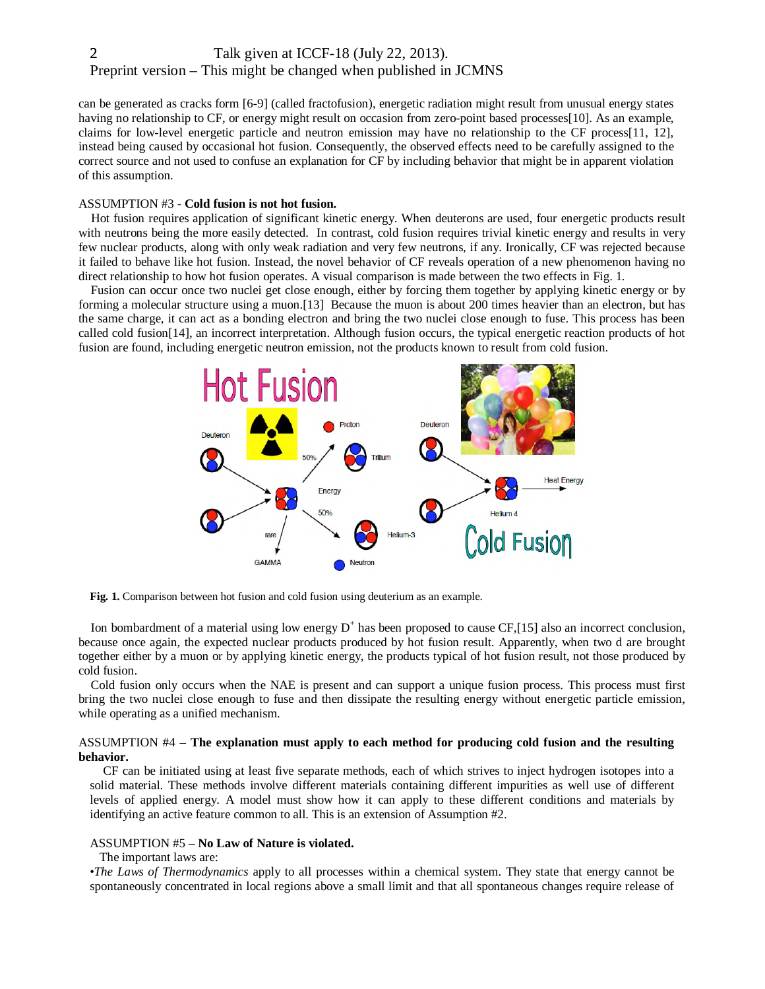can be generated as cracks form [6-9] (called fractofusion), energetic radiation might result from unusual energy states having no relationship to CF, or energy might result on occasion from zero-point based processes[10]. As an example, claims for low-level energetic particle and neutron emission may have no relationship to the CF process[11, 12], instead being caused by occasional hot fusion. Consequently, the observed effects need to be carefully assigned to the correct source and not used to confuse an explanation for CF by including behavior that might be in apparent violation of this assumption.

## ASSUMPTION #3 - **Cold fusion is not hot fusion.**

Hot fusion requires application of significant kinetic energy. When deuterons are used, four energetic products result with neutrons being the more easily detected. In contrast, cold fusion requires trivial kinetic energy and results in very few nuclear products, along with only weak radiation and very few neutrons, if any. Ironically, CF was rejected because it failed to behave like hot fusion. Instead, the novel behavior of CF reveals operation of a new phenomenon having no direct relationship to how hot fusion operates. A visual comparison is made between the two effects in Fig. 1.

Fusion can occur once two nuclei get close enough, either by forcing them together by applying kinetic energy or by forming a molecular structure using a muon.[13] Because the muon is about 200 times heavier than an electron, but has the same charge, it can act as a bonding electron and bring the two nuclei close enough to fuse. This process has been called cold fusion[14], an incorrect interpretation. Although fusion occurs, the typical energetic reaction products of hot fusion are found, including energetic neutron emission, not the products known to result from cold fusion.



**Fig. 1.** Comparison between hot fusion and cold fusion using deuterium as an example.

Ion bombardment of a material using low energy  $D^+$  has been proposed to cause CF,[15] also an incorrect conclusion, because once again, the expected nuclear products produced by hot fusion result. Apparently, when two d are brought together either by a muon or by applying kinetic energy, the products typical of hot fusion result, not those produced by cold fusion.

Cold fusion only occurs when the NAE is present and can support a unique fusion process. This process must first bring the two nuclei close enough to fuse and then dissipate the resulting energy without energetic particle emission, while operating as a unified mechanism.

# ASSUMPTION #4 – **The explanation must apply to each method for producing cold fusion and the resulting behavior.**

CF can be initiated using at least five separate methods, each of which strives to inject hydrogen isotopes into a solid material. These methods involve different materials containing different impurities as well use of different levels of applied energy. A model must show how it can apply to these different conditions and materials by identifying an active feature common to all. This is an extension of Assumption #2.

#### ASSUMPTION #5 – **No Law of Nature is violated.**

#### The important laws are:

•*The Laws of Thermodynamics* apply to all processes within a chemical system. They state that energy cannot be spontaneously concentrated in local regions above a small limit and that all spontaneous changes require release of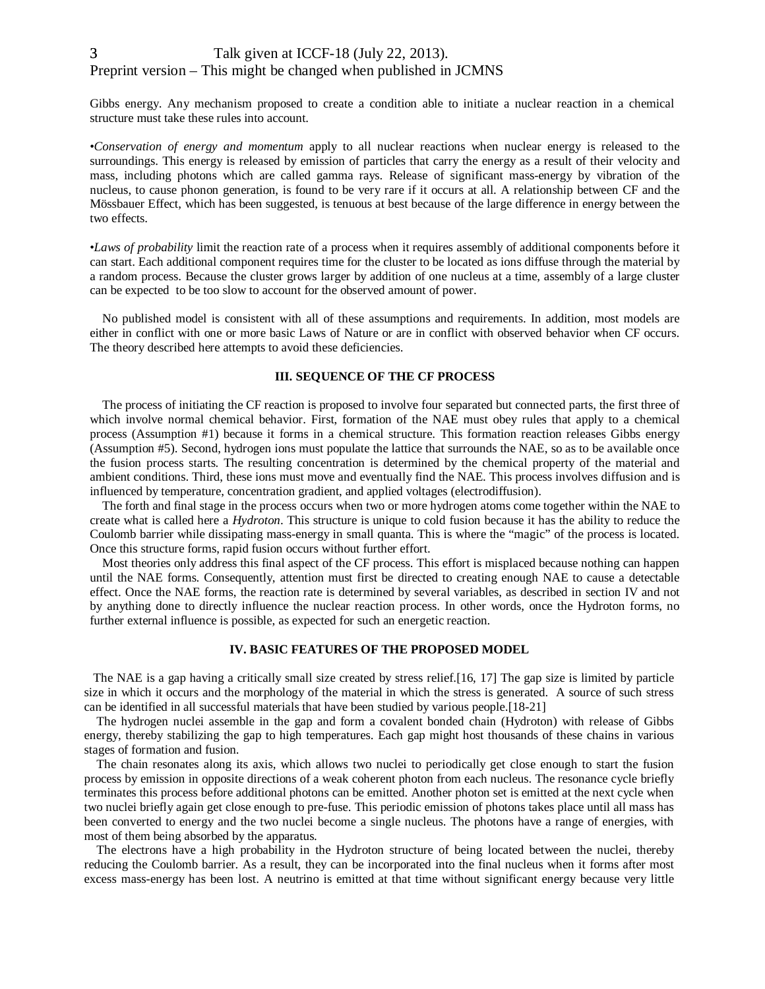Gibbs energy. Any mechanism proposed to create a condition able to initiate a nuclear reaction in a chemical structure must take these rules into account.

•*Conservation of energy and momentum* apply to all nuclear reactions when nuclear energy is released to the surroundings. This energy is released by emission of particles that carry the energy as a result of their velocity and mass, including photons which are called gamma rays. Release of significant mass-energy by vibration of the nucleus, to cause phonon generation, is found to be very rare if it occurs at all. A relationship between CF and the Mössbauer Effect, which has been suggested, is tenuous at best because of the large difference in energy between the two effects.

•*Laws of probability* limit the reaction rate of a process when it requires assembly of additional components before it can start. Each additional component requires time for the cluster to be located as ions diffuse through the material by a random process. Because the cluster grows larger by addition of one nucleus at a time, assembly of a large cluster can be expected to be too slow to account for the observed amount of power.

No published model is consistent with all of these assumptions and requirements. In addition, most models are either in conflict with one or more basic Laws of Nature or are in conflict with observed behavior when CF occurs. The theory described here attempts to avoid these deficiencies.

# **III. SEQUENCE OF THE CF PROCESS**

The process of initiating the CF reaction is proposed to involve four separated but connected parts, the first three of which involve normal chemical behavior. First, formation of the NAE must obey rules that apply to a chemical process (Assumption #1) because it forms in a chemical structure. This formation reaction releases Gibbs energy (Assumption #5). Second, hydrogen ions must populate the lattice that surrounds the NAE, so as to be available once the fusion process starts. The resulting concentration is determined by the chemical property of the material and ambient conditions. Third, these ions must move and eventually find the NAE. This process involves diffusion and is influenced by temperature, concentration gradient, and applied voltages (electrodiffusion).

The forth and final stage in the process occurs when two or more hydrogen atoms come together within the NAE to create what is called here a *Hydroton*. This structure is unique to cold fusion because it has the ability to reduce the Coulomb barrier while dissipating mass-energy in small quanta. This is where the "magic" of the process is located. Once this structure forms, rapid fusion occurs without further effort.

Most theories only address this final aspect of the CF process. This effort is misplaced because nothing can happen until the NAE forms. Consequently, attention must first be directed to creating enough NAE to cause a detectable effect. Once the NAE forms, the reaction rate is determined by several variables, as described in section IV and not by anything done to directly influence the nuclear reaction process. In other words, once the Hydroton forms, no further external influence is possible, as expected for such an energetic reaction.

# **IV. BASIC FEATURES OF THE PROPOSED MODEL**

The NAE is a gap having a critically small size created by stress relief.[16, 17] The gap size is limited by particle size in which it occurs and the morphology of the material in which the stress is generated. A source of such stress can be identified in all successful materials that have been studied by various people.[18-21]

The hydrogen nuclei assemble in the gap and form a covalent bonded chain (Hydroton) with release of Gibbs energy, thereby stabilizing the gap to high temperatures. Each gap might host thousands of these chains in various stages of formation and fusion.

The chain resonates along its axis, which allows two nuclei to periodically get close enough to start the fusion process by emission in opposite directions of a weak coherent photon from each nucleus. The resonance cycle briefly terminates this process before additional photons can be emitted. Another photon set is emitted at the next cycle when two nuclei briefly again get close enough to pre-fuse. This periodic emission of photons takes place until all mass has been converted to energy and the two nuclei become a single nucleus. The photons have a range of energies, with most of them being absorbed by the apparatus.

The electrons have a high probability in the Hydroton structure of being located between the nuclei, thereby reducing the Coulomb barrier. As a result, they can be incorporated into the final nucleus when it forms after most excess mass-energy has been lost. A neutrino is emitted at that time without significant energy because very little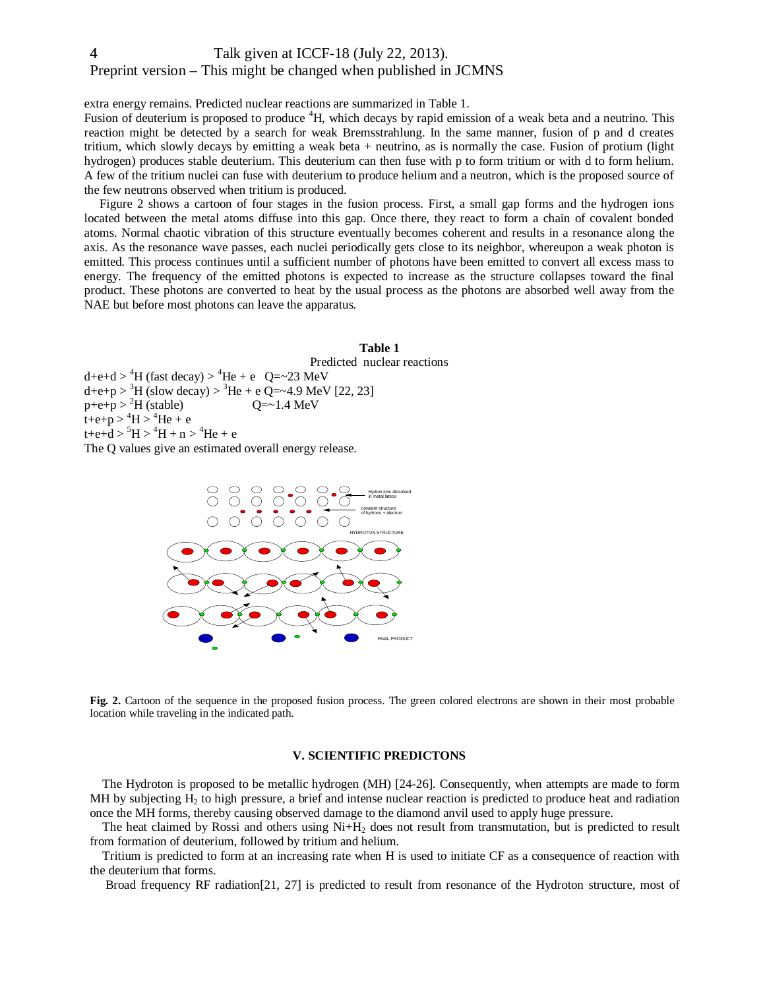extra energy remains. Predicted nuclear reactions are summarized in Table 1.

Fusion of deuterium is proposed to produce <sup>4</sup>H, which decays by rapid emission of a weak beta and a neutrino. This reaction might be detected by a search for weak Bremsstrahlung. In the same manner, fusion of p and d creates tritium, which slowly decays by emitting a weak beta + neutrino, as is normally the case. Fusion of protium (light hydrogen) produces stable deuterium. This deuterium can then fuse with p to form tritium or with d to form helium. A few of the tritium nuclei can fuse with deuterium to produce helium and a neutron, which is the proposed source of the few neutrons observed when tritium is produced.

Figure 2 shows a cartoon of four stages in the fusion process. First, a small gap forms and the hydrogen ions located between the metal atoms diffuse into this gap. Once there, they react to form a chain of covalent bonded atoms. Normal chaotic vibration of this structure eventually becomes coherent and results in a resonance along the axis. As the resonance wave passes, each nuclei periodically gets close to its neighbor, whereupon a weak photon is emitted. This process continues until a sufficient number of photons have been emitted to convert all excess mass to energy. The frequency of the emitted photons is expected to increase as the structure collapses toward the final product. These photons are converted to heat by the usual process as the photons are absorbed well away from the NAE but before most photons can leave the apparatus.

# **Table 1** Predicted nuclear reactions  $d+e+d > {}^{4}H$  (fast decay)  $> {}^{4}He + e$  Q=~23 MeV  $d+e+p > {}^{3}H$  (slow decay)  $> {}^{3}He + e$  Q=~4.9 MeV [22, 23]  $p+e+p > {}^{2}H$  (stable)  $Q=-1.4 \text{ MeV}$  $t+e+p > {}^{4}H > {}^{4}He + e$  $t + e + d > {}^{5}H > {}^{4}H + n > {}^{4}He + e$ The Q values give an estimated overall energy release.



**Fig. 2.** Cartoon of the sequence in the proposed fusion process. The green colored electrons are shown in their most probable location while traveling in the indicated path.

# **V. SCIENTIFIC PREDICTONS**

The Hydroton is proposed to be metallic hydrogen (MH) [24-26]. Consequently, when attempts are made to form MH by subjecting  $H_2$  to high pressure, a brief and intense nuclear reaction is predicted to produce heat and radiation once the MH forms, thereby causing observed damage to the diamond anvil used to apply huge pressure.

The heat claimed by Rossi and others using  $Ni+H<sub>2</sub>$  does not result from transmutation, but is predicted to result from formation of deuterium, followed by tritium and helium.

Tritium is predicted to form at an increasing rate when H is used to initiate CF as a consequence of reaction with the deuterium that forms.

Broad frequency RF radiation[21, 27] is predicted to result from resonance of the Hydroton structure, most of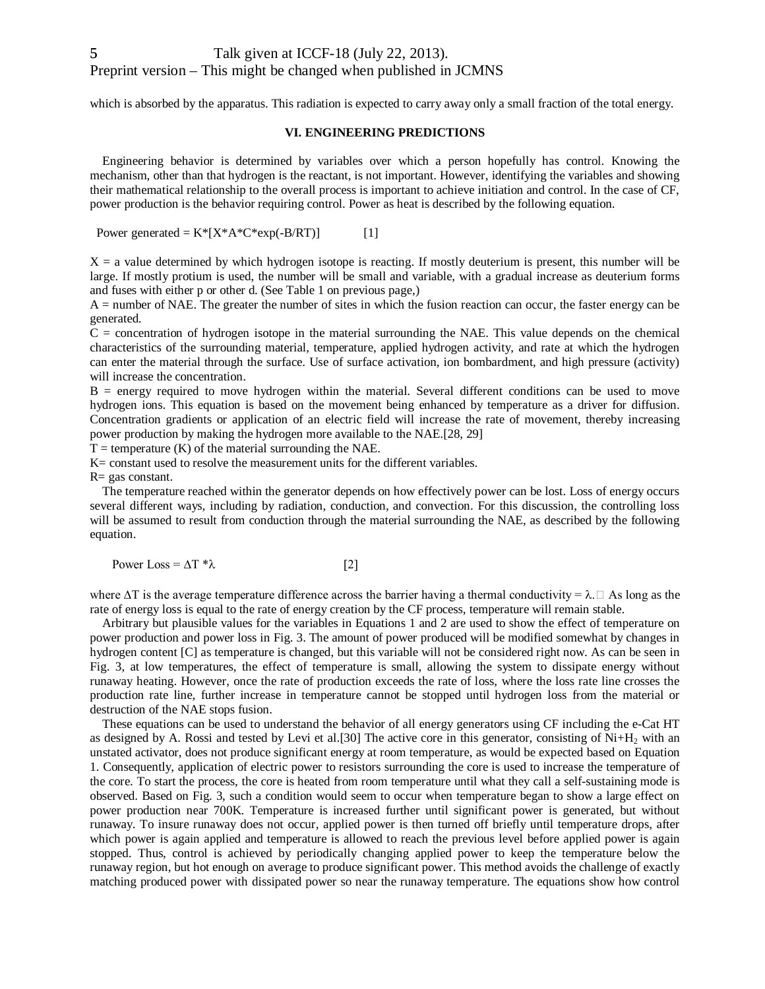which is absorbed by the apparatus. This radiation is expected to carry away only a small fraction of the total energy.

## **VI. ENGINEERING PREDICTIONS**

Engineering behavior is determined by variables over which a person hopefully has control. Knowing the mechanism, other than that hydrogen is the reactant, is not important. However, identifying the variables and showing their mathematical relationship to the overall process is important to achieve initiation and control. In the case of CF, power production is the behavior requiring control. Power as heat is described by the following equation.

Power generated =  $K^*[X^*A^*C^*exp(-B/RT)]$  [1]

 $X = a$  value determined by which hydrogen isotope is reacting. If mostly deuterium is present, this number will be large. If mostly protium is used, the number will be small and variable, with a gradual increase as deuterium forms and fuses with either p or other d. (See Table 1 on previous page,)

A = number of NAE. The greater the number of sites in which the fusion reaction can occur, the faster energy can be generated.

 $C =$  concentration of hydrogen isotope in the material surrounding the NAE. This value depends on the chemical characteristics of the surrounding material, temperature, applied hydrogen activity, and rate at which the hydrogen can enter the material through the surface. Use of surface activation, ion bombardment, and high pressure (activity) will increase the concentration.

B = energy required to move hydrogen within the material. Several different conditions can be used to move hydrogen ions. This equation is based on the movement being enhanced by temperature as a driver for diffusion. Concentration gradients or application of an electric field will increase the rate of movement, thereby increasing power production by making the hydrogen more available to the NAE.[28, 29]

 $T =$  temperature  $(K)$  of the material surrounding the NAE.

K= constant used to resolve the measurement units for the different variables.

 $R = gas constant$ .

The temperature reached within the generator depends on how effectively power can be lost. Loss of energy occurs several different ways, including by radiation, conduction, and convection. For this discussion, the controlling loss will be assumed to result from conduction through the material surrounding the NAE, as described by the following equation.

Power Loss =  $\Delta T$  \* $\lambda$  [2]

where  $\Delta T$  is the average temperature difference across the barrier having a thermal conductivity =  $\lambda$ . $\Box$  As long as the rate of energy loss is equal to the rate of energy creation by the CF process, temperature will remain stable.

Arbitrary but plausible values for the variables in Equations 1 and 2 are used to show the effect of temperature on power production and power loss in Fig. 3. The amount of power produced will be modified somewhat by changes in hydrogen content [C] as temperature is changed, but this variable will not be considered right now. As can be seen in Fig. 3, at low temperatures, the effect of temperature is small, allowing the system to dissipate energy without runaway heating. However, once the rate of production exceeds the rate of loss, where the loss rate line crosses the production rate line, further increase in temperature cannot be stopped until hydrogen loss from the material or destruction of the NAE stops fusion.

These equations can be used to understand the behavior of all energy generators using CF including the e-Cat HT as designed by A. Rossi and tested by Levi et al.[30] The active core in this generator, consisting of  $Ni+H<sub>2</sub>$  with an unstated activator, does not produce significant energy at room temperature, as would be expected based on Equation 1. Consequently, application of electric power to resistors surrounding the core is used to increase the temperature of the core. To start the process, the core is heated from room temperature until what they call a self-sustaining mode is observed. Based on Fig. 3, such a condition would seem to occur when temperature began to show a large effect on power production near 700K. Temperature is increased further until significant power is generated, but without runaway. To insure runaway does not occur, applied power is then turned off briefly until temperature drops, after which power is again applied and temperature is allowed to reach the previous level before applied power is again stopped. Thus, control is achieved by periodically changing applied power to keep the temperature below the runaway region, but hot enough on average to produce significant power. This method avoids the challenge of exactly matching produced power with dissipated power so near the runaway temperature. The equations show how control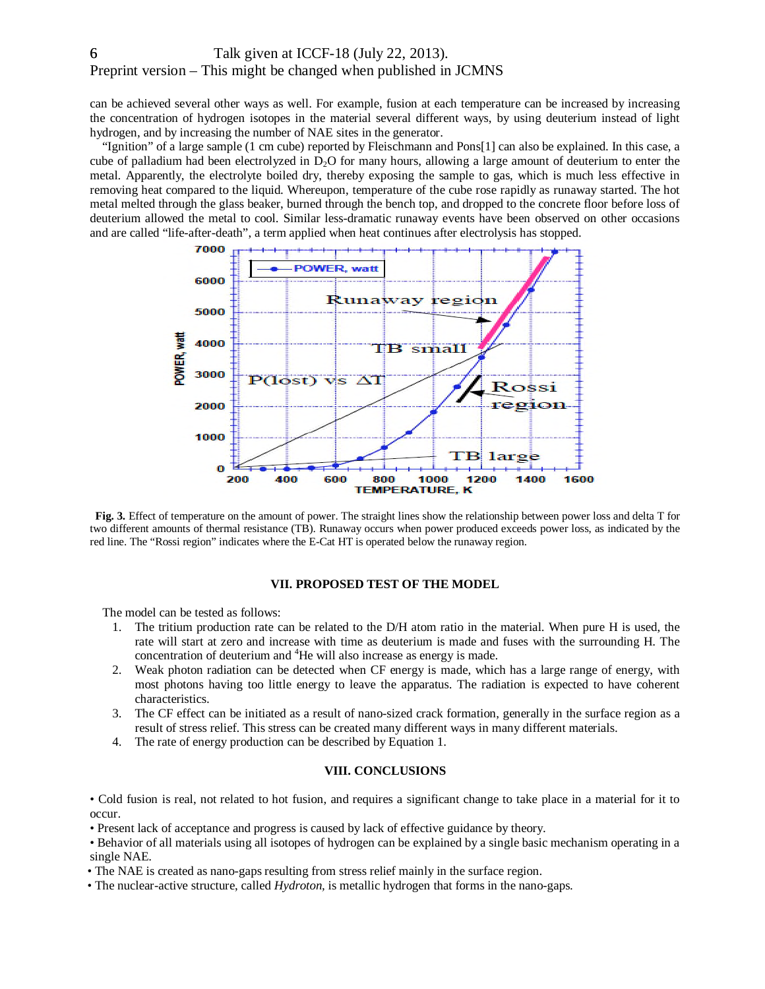can be achieved several other ways as well. For example, fusion at each temperature can be increased by increasing the concentration of hydrogen isotopes in the material several different ways, by using deuterium instead of light hydrogen, and by increasing the number of NAE sites in the generator.

"Ignition" of a large sample (1 cm cube) reported by Fleischmann and Pons[1] can also be explained. In this case, a cube of palladium had been electrolyzed in  $D_2O$  for many hours, allowing a large amount of deuterium to enter the metal. Apparently, the electrolyte boiled dry, thereby exposing the sample to gas, which is much less effective in removing heat compared to the liquid. Whereupon, temperature of the cube rose rapidly as runaway started. The hot metal melted through the glass beaker, burned through the bench top, and dropped to the concrete floor before loss of deuterium allowed the metal to cool. Similar less-dramatic runaway events have been observed on other occasions and are called "life-after-death", a term applied when heat continues after electrolysis has stopped.



**Fig. 3.** Effect of temperature on the amount of power. The straight lines show the relationship between power loss and delta T for two different amounts of thermal resistance (TB). Runaway occurs when power produced exceeds power loss, as indicated by the red line. The "Rossi region" indicates where the E-Cat HT is operated below the runaway region.

# **VII. PROPOSED TEST OF THE MODEL**

The model can be tested as follows:

- 1. The tritium production rate can be related to the D/H atom ratio in the material. When pure H is used, the rate will start at zero and increase with time as deuterium is made and fuses with the surrounding H. The concentration of deuterium and <sup>4</sup>He will also increase as energy is made.
- 2. Weak photon radiation can be detected when CF energy is made, which has a large range of energy, with most photons having too little energy to leave the apparatus. The radiation is expected to have coherent characteristics.
- 3. The CF effect can be initiated as a result of nano-sized crack formation, generally in the surface region as a result of stress relief. This stress can be created many different ways in many different materials.
- 4. The rate of energy production can be described by Equation 1.

# **VIII. CONCLUSIONS**

• Cold fusion is real, not related to hot fusion, and requires a significant change to take place in a material for it to occur.

• Present lack of acceptance and progress is caused by lack of effective guidance by theory.

• Behavior of all materials using all isotopes of hydrogen can be explained by a single basic mechanism operating in a single NAE.

• The NAE is created as nano-gaps resulting from stress relief mainly in the surface region.

• The nuclear-active structure, called *Hydroton,* is metallic hydrogen that forms in the nano-gaps.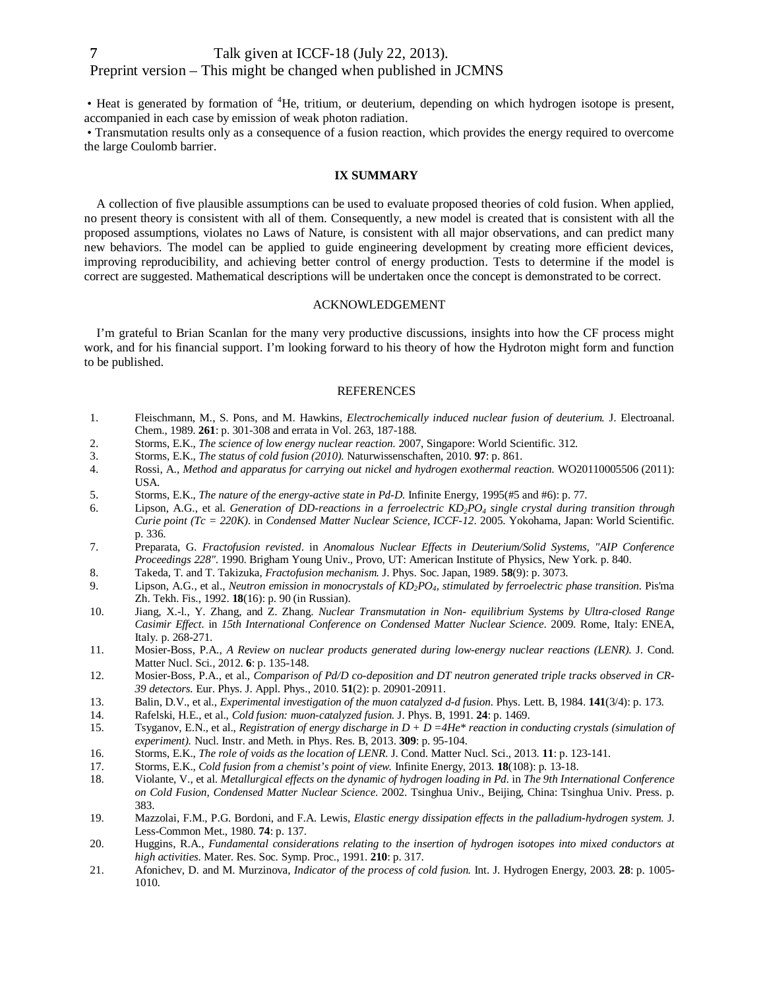• Heat is generated by formation of <sup>4</sup>He, tritium, or deuterium, depending on which hydrogen isotope is present, accompanied in each case by emission of weak photon radiation.

• Transmutation results only as a consequence of a fusion reaction, which provides the energy required to overcome the large Coulomb barrier.

## **IX SUMMARY**

A collection of five plausible assumptions can be used to evaluate proposed theories of cold fusion. When applied, no present theory is consistent with all of them. Consequently, a new model is created that is consistent with all the proposed assumptions, violates no Laws of Nature, is consistent with all major observations, and can predict many new behaviors. The model can be applied to guide engineering development by creating more efficient devices, improving reproducibility, and achieving better control of energy production. Tests to determine if the model is correct are suggested. Mathematical descriptions will be undertaken once the concept is demonstrated to be correct.

## ACKNOWLEDGEMENT

I'm grateful to Brian Scanlan for the many very productive discussions, insights into how the CF process might work, and for his financial support. I'm looking forward to his theory of how the Hydroton might form and function to be published.

#### REFERENCES

- 1. Fleischmann, M., S. Pons, and M. Hawkins, *Electrochemically induced nuclear fusion of deuterium.* J. Electroanal. Chem., 1989. **261**: p. 301-308 and errata in Vol. 263, 187-188.
- 2. Storms, E.K., *The science of low energy nuclear reaction*. 2007, Singapore: World Scientific. 312.
- 3. Storms, E.K., *The status of cold fusion (2010).* Naturwissenschaften, 2010. **97**: p. 861.
- 4. Rossi, A., *Method and apparatus for carrying out nickel and hydrogen exothermal reaction*. WO20110005506 (2011): USA.
- 5. Storms, E.K., *The nature of the energy-active state in Pd-D.* Infinite Energy, 1995(#5 and #6): p. 77.
- 6. Lipson, A.G., et al. *Generation of DD-reactions in a ferroelectric KD2PO<sup>4</sup> single crystal during transition through Curie point (Tc = 220K)*. in *Condensed Matter Nuclear Science, ICCF-12*. 2005. Yokohama, Japan: World Scientific. p. 336.
- 7. Preparata, G. *Fractofusion revisted*. in *Anomalous Nuclear Effects in Deuterium/Solid Systems, "AIP Conference Proceedings 228"*. 1990. Brigham Young Univ., Provo, UT: American Institute of Physics, New York. p. 840.
- 8. Takeda, T. and T. Takizuka, *Fractofusion mechanism.* J. Phys. Soc. Japan, 1989. **58**(9): p. 3073.
- 9. Lipson, A.G., et al., *Neutron emission in monocrystals of KD2PO4, stimulated by ferroelectric phase transition.* Pis'ma Zh. Tekh. Fis., 1992. **18**(16): p. 90 (in Russian).
- 10. Jiang, X.-l., Y. Zhang, and Z. Zhang. *Nuclear Transmutation in Non- equilibrium Systems by Ultra-closed Range Casimir Effect*. in *15th International Conference on Condensed Matter Nuclear Science*. 2009. Rome, Italy: ENEA, Italy. p. 268-271.
- 11. Mosier-Boss, P.A., *A Review on nuclear products generated during low-energy nuclear reactions (LENR).* J. Cond. Matter Nucl. Sci., 2012. **6**: p. 135-148.
- 12. Mosier-Boss, P.A., et al., *Comparison of Pd/D co-deposition and DT neutron generated triple tracks observed in CR-39 detectors.* Eur. Phys. J. Appl. Phys., 2010. **51**(2): p. 20901-20911.
- 13. Balin, D.V., et al., *Experimental investigation of the muon catalyzed d-d fusion.* Phys. Lett. B, 1984. **141**(3/4): p. 173.
- 14. Rafelski, H.E., et al., *Cold fusion: muon-catalyzed fusion.* J. Phys. B, 1991. **24**: p. 1469.
- 15. Tsyganov, E.N., et al., *Registration of energy discharge in D + D =4He\* reaction in conducting crystals (simulation of experiment).* Nucl. Instr. and Meth. in Phys. Res. B, 2013. **309**: p. 95-104.
- 16. Storms, E.K., *The role of voids as the location of LENR.* J. Cond. Matter Nucl. Sci., 2013. **11**: p. 123-141.
- 17. Storms, E.K., *Cold fusion from a chemist's point of view.* Infinite Energy, 2013. **18**(108): p. 13-18.
- 18. Violante, V., et al. *Metallurgical effects on the dynamic of hydrogen loading in Pd*. in *The 9th International Conference on Cold Fusion, Condensed Matter Nuclear Science*. 2002. Tsinghua Univ., Beijing, China: Tsinghua Univ. Press. p. 383.
- 19. Mazzolai, F.M., P.G. Bordoni, and F.A. Lewis, *Elastic energy dissipation effects in the palladium-hydrogen system.* J. Less-Common Met., 1980. **74**: p. 137.
- 20. Huggins, R.A., *Fundamental considerations relating to the insertion of hydrogen isotopes into mixed conductors at high activities.* Mater. Res. Soc. Symp. Proc., 1991. **210**: p. 317.
- 21. Afonichev, D. and M. Murzinova, *Indicator of the process of cold fusion.* Int. J. Hydrogen Energy, 2003. **28**: p. 1005- 1010.